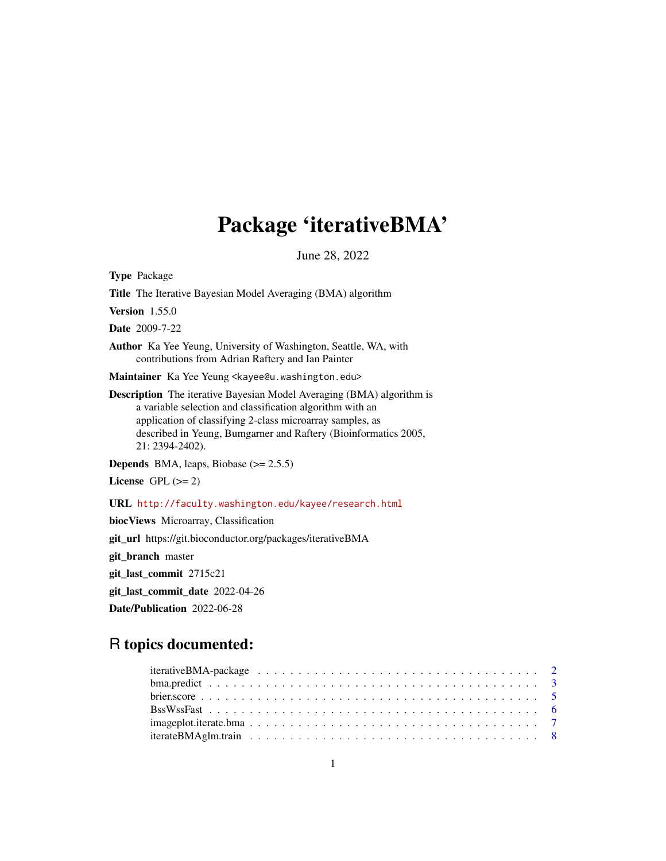# Package 'iterativeBMA'

June 28, 2022

Type Package Title The Iterative Bayesian Model Averaging (BMA) algorithm Version 1.55.0 Date 2009-7-22 Author Ka Yee Yeung, University of Washington, Seattle, WA, with contributions from Adrian Raftery and Ian Painter Maintainer Ka Yee Yeung <kayee@u.washington.edu> Description The iterative Bayesian Model Averaging (BMA) algorithm is a variable selection and classification algorithm with an application of classifying 2-class microarray samples, as described in Yeung, Bumgarner and Raftery (Bioinformatics 2005, 21: 2394-2402). **Depends** BMA, leaps, Biobase  $(>= 2.5.5)$ License GPL  $(>= 2)$ URL <http://faculty.washington.edu/kayee/research.html> biocViews Microarray, Classification git\_url https://git.bioconductor.org/packages/iterativeBMA git\_branch master git\_last\_commit 2715c21 git\_last\_commit\_date 2022-04-26

Date/Publication 2022-06-28

## R topics documented: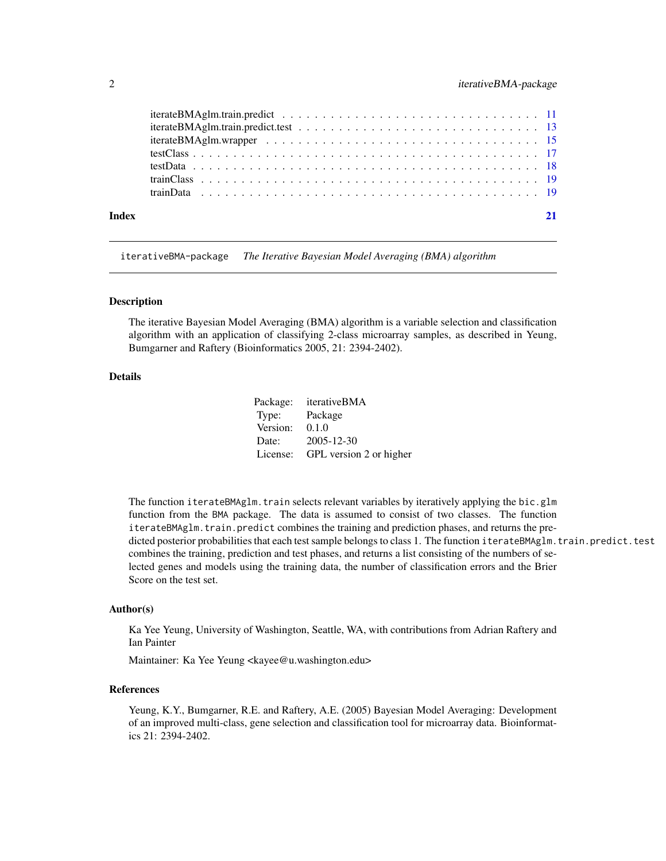<span id="page-1-0"></span>

| Index |  |
|-------|--|

iterativeBMA-package *The Iterative Bayesian Model Averaging (BMA) algorithm*

#### Description

The iterative Bayesian Model Averaging (BMA) algorithm is a variable selection and classification algorithm with an application of classifying 2-class microarray samples, as described in Yeung, Bumgarner and Raftery (Bioinformatics 2005, 21: 2394-2402).

#### Details

| Package: | iterativeBMA            |
|----------|-------------------------|
| Type:    | Package                 |
| Version: | 0.1.0                   |
| Date:    | 2005-12-30              |
| License: | GPL version 2 or higher |

The function iterateBMAglm.train selects relevant variables by iteratively applying the bic.glm function from the BMA package. The data is assumed to consist of two classes. The function iterateBMAglm.train.predict combines the training and prediction phases, and returns the predicted posterior probabilities that each test sample belongs to class 1. The function iterateBMAglm.train.predict.test combines the training, prediction and test phases, and returns a list consisting of the numbers of selected genes and models using the training data, the number of classification errors and the Brier Score on the test set.

#### Author(s)

Ka Yee Yeung, University of Washington, Seattle, WA, with contributions from Adrian Raftery and Ian Painter

Maintainer: Ka Yee Yeung <kayee@u.washington.edu>

#### References

Yeung, K.Y., Bumgarner, R.E. and Raftery, A.E. (2005) Bayesian Model Averaging: Development of an improved multi-class, gene selection and classification tool for microarray data. Bioinformatics 21: 2394-2402.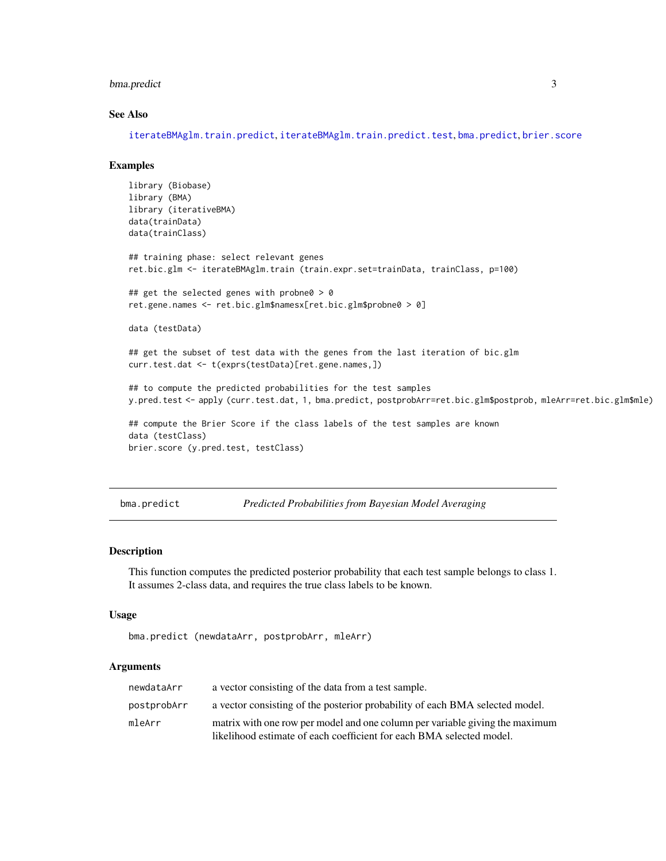#### <span id="page-2-0"></span>bma.predict 3

#### See Also

[iterateBMAglm.train.predict](#page-10-1), [iterateBMAglm.train.predict.test](#page-12-1), [bma.predict](#page-2-1), [brier.score](#page-4-1)

#### Examples

```
library (Biobase)
library (BMA)
library (iterativeBMA)
data(trainData)
data(trainClass)
## training phase: select relevant genes
ret.bic.glm <- iterateBMAglm.train (train.expr.set=trainData, trainClass, p=100)
## get the selected genes with probne0 > 0
ret.gene.names <- ret.bic.glm$namesx[ret.bic.glm$probne0 > 0]
data (testData)
## get the subset of test data with the genes from the last iteration of bic.glm
curr.test.dat <- t(exprs(testData)[ret.gene.names,])
## to compute the predicted probabilities for the test samples
y.pred.test <- apply (curr.test.dat, 1, bma.predict, postprobArr=ret.bic.glm$postprob, mleArr=ret.bic.glm$mle)
## compute the Brier Score if the class labels of the test samples are known
data (testClass)
brier.score (y.pred.test, testClass)
```
<span id="page-2-1"></span>bma.predict *Predicted Probabilities from Bayesian Model Averaging*

#### Description

This function computes the predicted posterior probability that each test sample belongs to class 1. It assumes 2-class data, and requires the true class labels to be known.

#### Usage

```
bma.predict (newdataArr, postprobArr, mleArr)
```
#### Arguments

| newdataArr  | a vector consisting of the data from a test sample.                          |
|-------------|------------------------------------------------------------------------------|
| postprobArr | a vector consisting of the posterior probability of each BMA selected model. |
| mleArr      | matrix with one row per model and one column per variable giving the maximum |
|             | likelihood estimate of each coefficient for each BMA selected model.         |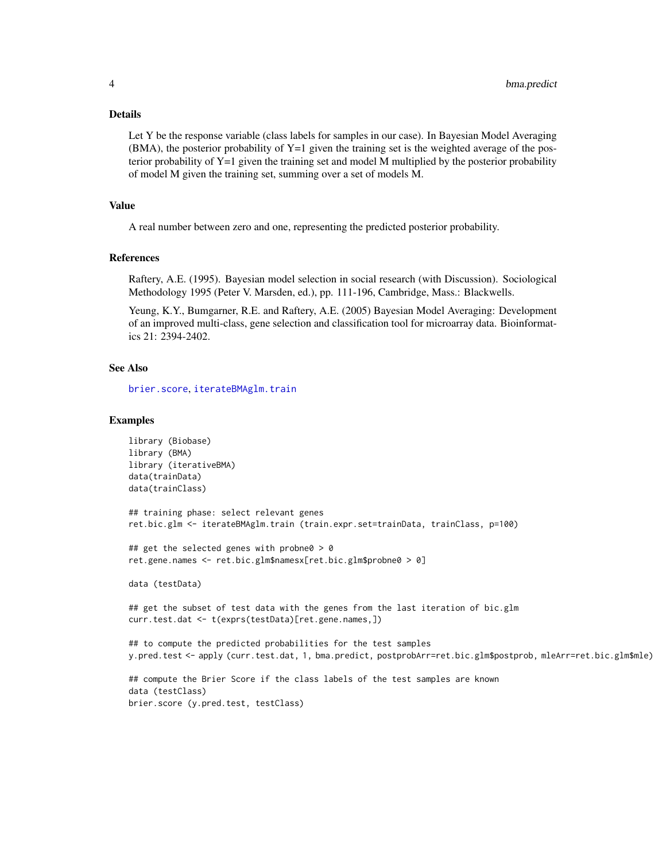<span id="page-3-0"></span>Let Y be the response variable (class labels for samples in our case). In Bayesian Model Averaging  $(BMA)$ , the posterior probability of Y=1 given the training set is the weighted average of the posterior probability of  $Y=1$  given the training set and model M multiplied by the posterior probability of model M given the training set, summing over a set of models M.

#### Value

A real number between zero and one, representing the predicted posterior probability.

#### References

Raftery, A.E. (1995). Bayesian model selection in social research (with Discussion). Sociological Methodology 1995 (Peter V. Marsden, ed.), pp. 111-196, Cambridge, Mass.: Blackwells.

Yeung, K.Y., Bumgarner, R.E. and Raftery, A.E. (2005) Bayesian Model Averaging: Development of an improved multi-class, gene selection and classification tool for microarray data. Bioinformatics 21: 2394-2402.

#### See Also

[brier.score](#page-4-1), [iterateBMAglm.train](#page-7-1)

#### Examples

```
library (Biobase)
library (BMA)
library (iterativeBMA)
data(trainData)
data(trainClass)
## training phase: select relevant genes
ret.bic.glm <- iterateBMAglm.train (train.expr.set=trainData, trainClass, p=100)
## get the selected genes with probne0 > 0
ret.gene.names <- ret.bic.glm$namesx[ret.bic.glm$probne0 > 0]
data (testData)
## get the subset of test data with the genes from the last iteration of bic.glm
curr.test.dat <- t(exprs(testData)[ret.gene.names,])
## to compute the predicted probabilities for the test samples
y.pred.test <- apply (curr.test.dat, 1, bma.predict, postprobArr=ret.bic.glm$postprob, mleArr=ret.bic.glm$mle)
## compute the Brier Score if the class labels of the test samples are known
data (testClass)
brier.score (y.pred.test, testClass)
```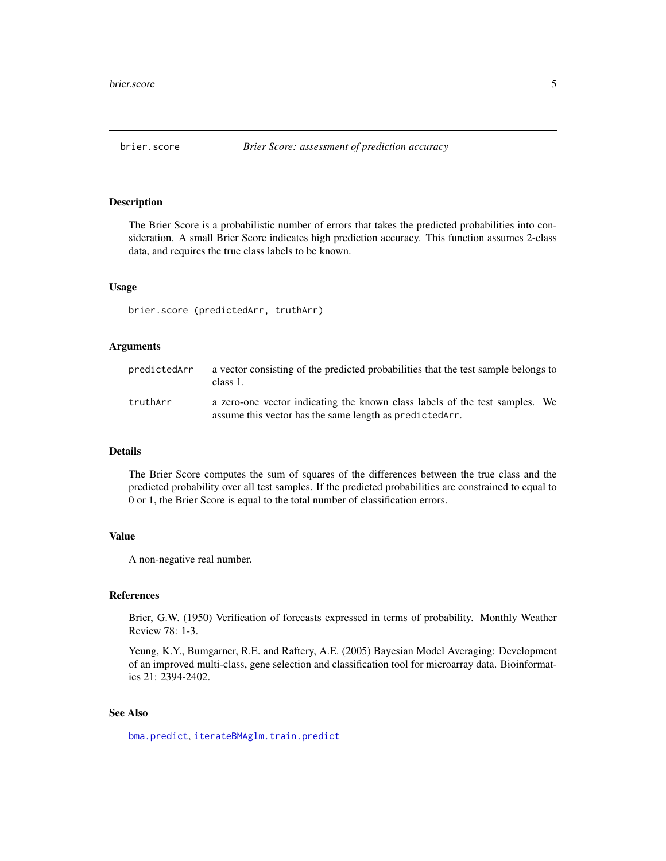<span id="page-4-1"></span><span id="page-4-0"></span>

#### Description

The Brier Score is a probabilistic number of errors that takes the predicted probabilities into consideration. A small Brier Score indicates high prediction accuracy. This function assumes 2-class data, and requires the true class labels to be known.

#### Usage

brier.score (predictedArr, truthArr)

#### Arguments

| predictedArr | a vector consisting of the predicted probabilities that the test sample belongs to<br>class 1.                                          |  |
|--------------|-----------------------------------------------------------------------------------------------------------------------------------------|--|
| truthArr     | a zero-one vector indicating the known class labels of the test samples. We<br>assume this vector has the same length as predicted Arr. |  |

#### Details

The Brier Score computes the sum of squares of the differences between the true class and the predicted probability over all test samples. If the predicted probabilities are constrained to equal to 0 or 1, the Brier Score is equal to the total number of classification errors.

#### Value

A non-negative real number.

#### References

Brier, G.W. (1950) Verification of forecasts expressed in terms of probability. Monthly Weather Review 78: 1-3.

Yeung, K.Y., Bumgarner, R.E. and Raftery, A.E. (2005) Bayesian Model Averaging: Development of an improved multi-class, gene selection and classification tool for microarray data. Bioinformatics 21: 2394-2402.

#### See Also

[bma.predict](#page-2-1), [iterateBMAglm.train.predict](#page-10-1)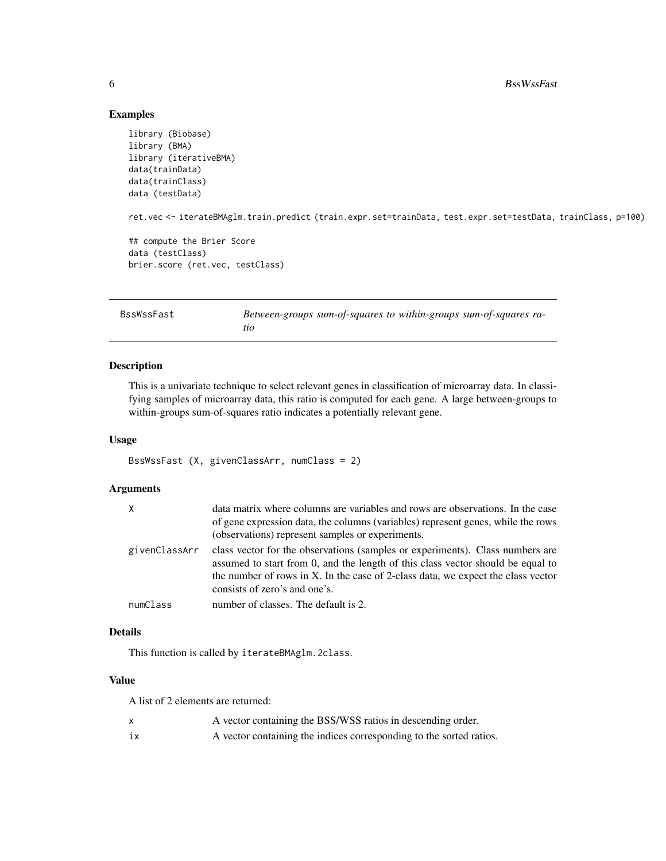#### Examples

```
library (Biobase)
library (BMA)
library (iterativeBMA)
data(trainData)
data(trainClass)
data (testData)
ret.vec <- iterateBMAglm.train.predict (train.expr.set=trainData, test.expr.set=testData, trainClass, p=100)
## compute the Brier Score
data (testClass)
brier.score (ret.vec, testClass)
```
<span id="page-5-1"></span>

| BssWssFast | Between-groups sum-of-squares to within-groups sum-of-squares ra- |
|------------|-------------------------------------------------------------------|
|            | tio                                                               |

#### Description

This is a univariate technique to select relevant genes in classification of microarray data. In classifying samples of microarray data, this ratio is computed for each gene. A large between-groups to within-groups sum-of-squares ratio indicates a potentially relevant gene.

#### Usage

```
BssWssFast (X, givenClassArr, numClass = 2)
```
#### Arguments

| Χ             | data matrix where columns are variables and rows are observations. In the case<br>of gene expression data, the columns (variables) represent genes, while the rows<br>(observations) represent samples or experiments.                                                                |
|---------------|---------------------------------------------------------------------------------------------------------------------------------------------------------------------------------------------------------------------------------------------------------------------------------------|
| givenClassArr | class vector for the observations (samples or experiments). Class numbers are<br>assumed to start from 0, and the length of this class vector should be equal to<br>the number of rows in X. In the case of 2-class data, we expect the class vector<br>consists of zero's and one's. |
| numClass      | number of classes. The default is 2.                                                                                                                                                                                                                                                  |

#### Details

This function is called by iterateBMAglm.2class.

#### Value

A list of 2 elements are returned:

|    | A vector containing the BSS/WSS ratios in descending order.         |
|----|---------------------------------------------------------------------|
| 1X | A vector containing the indices corresponding to the sorted ratios. |

<span id="page-5-0"></span>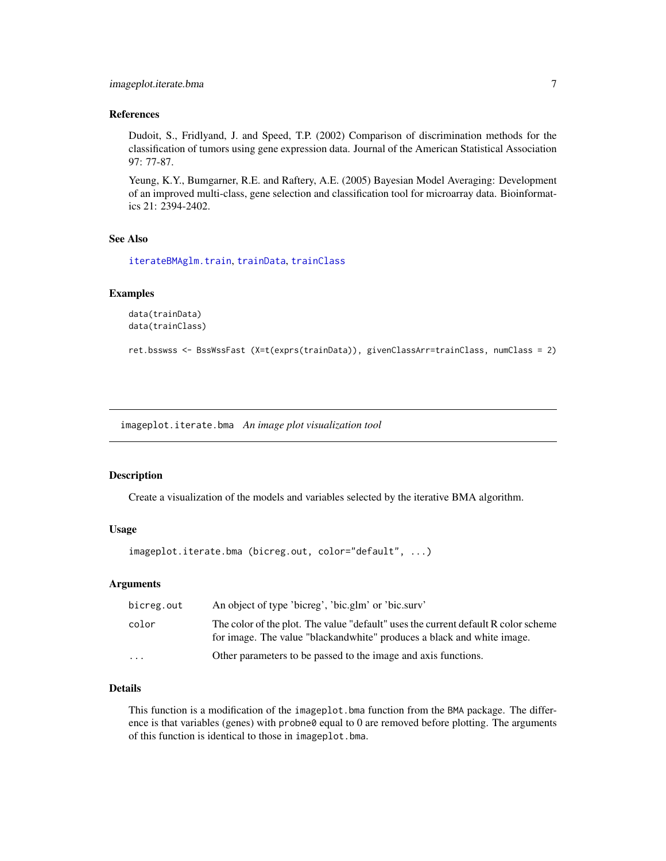#### <span id="page-6-0"></span>References

Dudoit, S., Fridlyand, J. and Speed, T.P. (2002) Comparison of discrimination methods for the classification of tumors using gene expression data. Journal of the American Statistical Association 97: 77-87.

Yeung, K.Y., Bumgarner, R.E. and Raftery, A.E. (2005) Bayesian Model Averaging: Development of an improved multi-class, gene selection and classification tool for microarray data. Bioinformatics 21: 2394-2402.

#### See Also

[iterateBMAglm.train](#page-7-1), [trainData](#page-18-1), [trainClass](#page-18-2)

#### Examples

```
data(trainData)
data(trainClass)
```

```
ret.bsswss <- BssWssFast (X=t(exprs(trainData)), givenClassArr=trainClass, numClass = 2)
```
imageplot.iterate.bma *An image plot visualization tool*

#### Description

Create a visualization of the models and variables selected by the iterative BMA algorithm.

#### Usage

```
imageplot.iterate.bma (bicreg.out, color="default", ...)
```
#### **Arguments**

| bicreg.out | An object of type 'bicreg', 'bic.glm' or 'bic.sury'                                                                                                           |
|------------|---------------------------------------------------------------------------------------------------------------------------------------------------------------|
| color      | The color of the plot. The value "default" uses the current default R color scheme<br>for image. The value "blackand white" produces a black and white image. |
| $\cdots$   | Other parameters to be passed to the image and axis functions.                                                                                                |

#### Details

This function is a modification of the imageplot.bma function from the BMA package. The difference is that variables (genes) with probne0 equal to 0 are removed before plotting. The arguments of this function is identical to those in imageplot.bma.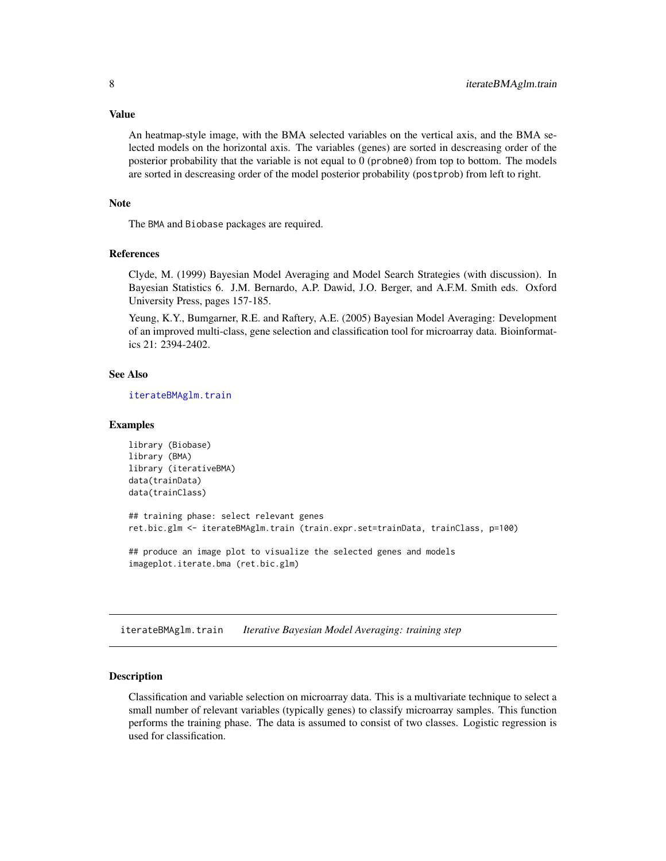<span id="page-7-0"></span>An heatmap-style image, with the BMA selected variables on the vertical axis, and the BMA selected models on the horizontal axis. The variables (genes) are sorted in descreasing order of the posterior probability that the variable is not equal to 0 (probne0) from top to bottom. The models are sorted in descreasing order of the model posterior probability (postprob) from left to right.

#### Note

The BMA and Biobase packages are required.

#### References

Clyde, M. (1999) Bayesian Model Averaging and Model Search Strategies (with discussion). In Bayesian Statistics 6. J.M. Bernardo, A.P. Dawid, J.O. Berger, and A.F.M. Smith eds. Oxford University Press, pages 157-185.

Yeung, K.Y., Bumgarner, R.E. and Raftery, A.E. (2005) Bayesian Model Averaging: Development of an improved multi-class, gene selection and classification tool for microarray data. Bioinformatics 21: 2394-2402.

#### See Also

[iterateBMAglm.train](#page-7-1)

#### Examples

```
library (Biobase)
library (BMA)
library (iterativeBMA)
data(trainData)
data(trainClass)
## training phase: select relevant genes
ret.bic.glm <- iterateBMAglm.train (train.expr.set=trainData, trainClass, p=100)
## produce an image plot to visualize the selected genes and models
imageplot.iterate.bma (ret.bic.glm)
```
<span id="page-7-1"></span>iterateBMAglm.train *Iterative Bayesian Model Averaging: training step*

#### Description

Classification and variable selection on microarray data. This is a multivariate technique to select a small number of relevant variables (typically genes) to classify microarray samples. This function performs the training phase. The data is assumed to consist of two classes. Logistic regression is used for classification.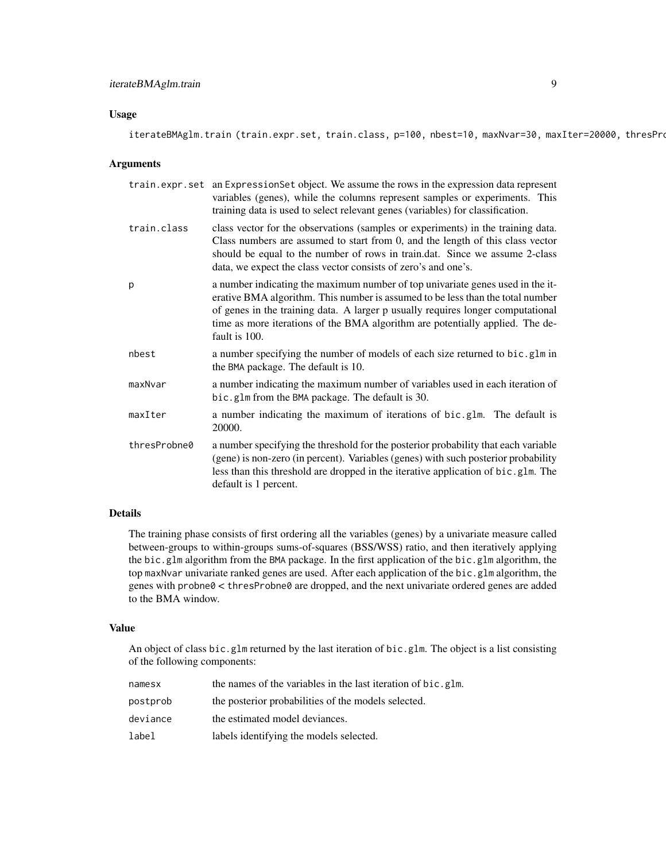#### iterateBMAglm.train 9

#### Usage

#### Arguments

|              | train.expr.set an Expression Set object. We assume the rows in the expression data represent<br>variables (genes), while the columns represent samples or experiments. This<br>training data is used to select relevant genes (variables) for classification.                                                                                         |
|--------------|-------------------------------------------------------------------------------------------------------------------------------------------------------------------------------------------------------------------------------------------------------------------------------------------------------------------------------------------------------|
| train.class  | class vector for the observations (samples or experiments) in the training data.<br>Class numbers are assumed to start from 0, and the length of this class vector<br>should be equal to the number of rows in train.dat. Since we assume 2-class<br>data, we expect the class vector consists of zero's and one's.                                   |
| p            | a number indicating the maximum number of top univariate genes used in the it-<br>erative BMA algorithm. This number is assumed to be less than the total number<br>of genes in the training data. A larger p usually requires longer computational<br>time as more iterations of the BMA algorithm are potentially applied. The de-<br>fault is 100. |
| nbest        | a number specifying the number of models of each size returned to bic.glm in<br>the BMA package. The default is 10.                                                                                                                                                                                                                                   |
| maxNvar      | a number indicating the maximum number of variables used in each iteration of<br>bic.glm from the BMA package. The default is 30.                                                                                                                                                                                                                     |
| maxIter      | a number indicating the maximum of iterations of bic.glm. The default is<br>20000.                                                                                                                                                                                                                                                                    |
| thresProbne0 | a number specifying the threshold for the posterior probability that each variable<br>(gene) is non-zero (in percent). Variables (genes) with such posterior probability<br>less than this threshold are dropped in the iterative application of bic.glm. The<br>default is 1 percent.                                                                |

#### Details

The training phase consists of first ordering all the variables (genes) by a univariate measure called between-groups to within-groups sums-of-squares (BSS/WSS) ratio, and then iteratively applying the bic.glm algorithm from the BMA package. In the first application of the bic.glm algorithm, the top maxNvar univariate ranked genes are used. After each application of the bic.glm algorithm, the genes with probne0 < thresProbne0 are dropped, and the next univariate ordered genes are added to the BMA window.

#### Value

An object of class bic.glm returned by the last iteration of bic.glm. The object is a list consisting of the following components:

| namesx   | the names of the variables in the last iteration of bic.glm. |
|----------|--------------------------------------------------------------|
| postprob | the posterior probabilities of the models selected.          |
| deviance | the estimated model deviances.                               |
| label    | labels identifying the models selected.                      |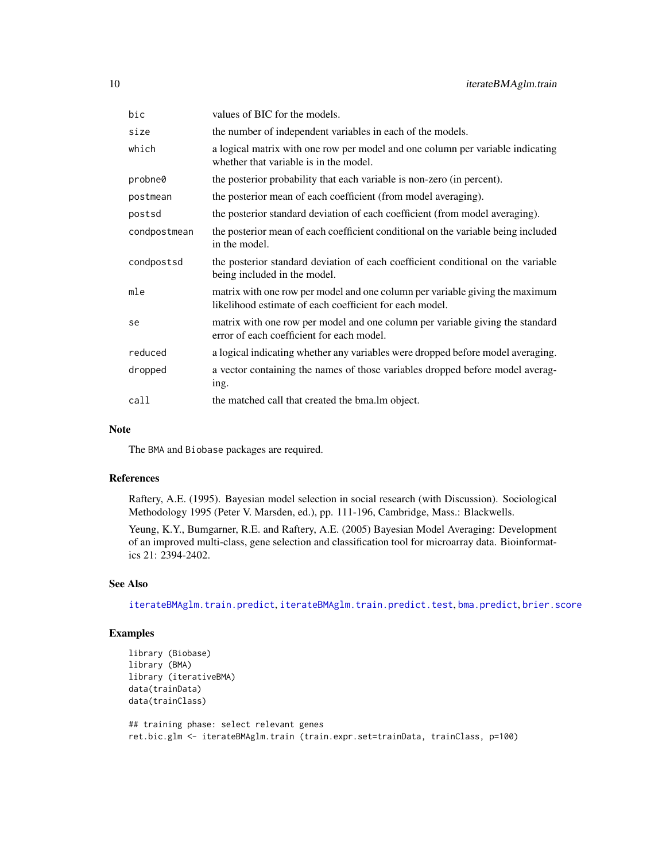<span id="page-9-0"></span>

| bic          | values of BIC for the models.                                                                                                           |
|--------------|-----------------------------------------------------------------------------------------------------------------------------------------|
| size         | the number of independent variables in each of the models.                                                                              |
| which        | a logical matrix with one row per model and one column per variable indicating<br>whether that variable is in the model.                |
| probne0      | the posterior probability that each variable is non-zero (in percent).                                                                  |
| postmean     | the posterior mean of each coefficient (from model averaging).                                                                          |
| postsd       | the posterior standard deviation of each coefficient (from model averaging).                                                            |
| condpostmean | the posterior mean of each coefficient conditional on the variable being included<br>in the model.                                      |
| condpostsd   | the posterior standard deviation of each coefficient conditional on the variable<br>being included in the model.                        |
| mle          | matrix with one row per model and one column per variable giving the maximum<br>likelihood estimate of each coefficient for each model. |
| se           | matrix with one row per model and one column per variable giving the standard<br>error of each coefficient for each model.              |
| reduced      | a logical indicating whether any variables were dropped before model averaging.                                                         |
| dropped      | a vector containing the names of those variables dropped before model averag-<br>ing.                                                   |
| call         | the matched call that created the bma. Im object.                                                                                       |

#### Note

The BMA and Biobase packages are required.

#### References

Raftery, A.E. (1995). Bayesian model selection in social research (with Discussion). Sociological Methodology 1995 (Peter V. Marsden, ed.), pp. 111-196, Cambridge, Mass.: Blackwells.

Yeung, K.Y., Bumgarner, R.E. and Raftery, A.E. (2005) Bayesian Model Averaging: Development of an improved multi-class, gene selection and classification tool for microarray data. Bioinformatics 21: 2394-2402.

#### See Also

[iterateBMAglm.train.predict](#page-10-1), [iterateBMAglm.train.predict.test](#page-12-1), [bma.predict](#page-2-1), [brier.score](#page-4-1)

#### Examples

```
library (Biobase)
library (BMA)
library (iterativeBMA)
data(trainData)
data(trainClass)
## training phase: select relevant genes
```
ret.bic.glm <- iterateBMAglm.train (train.expr.set=trainData, trainClass, p=100)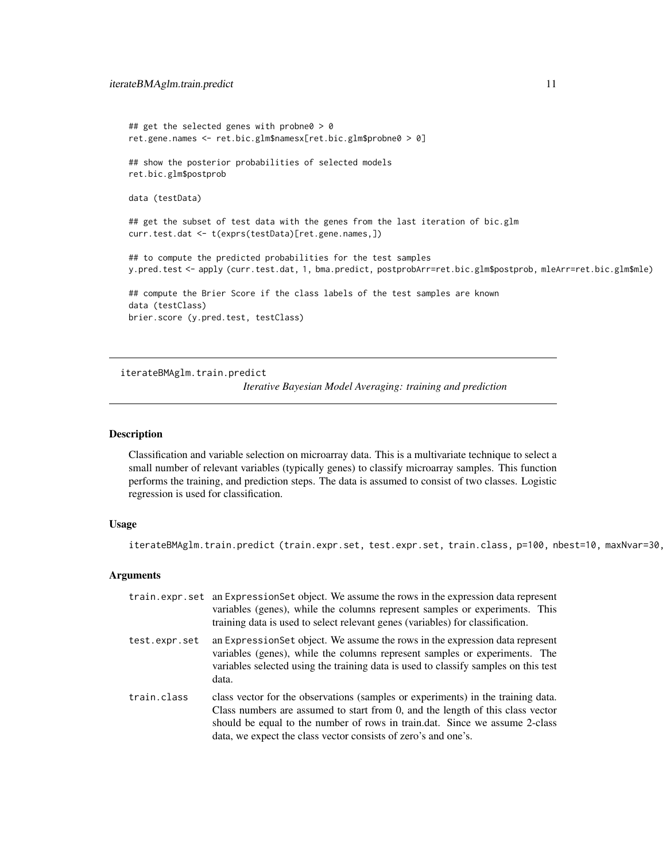```
## get the selected genes with probne0 > 0
ret.gene.names <- ret.bic.glm$namesx[ret.bic.glm$probne0 > 0]
## show the posterior probabilities of selected models
ret.bic.glm$postprob
data (testData)
## get the subset of test data with the genes from the last iteration of bic.glm
curr.test.dat <- t(exprs(testData)[ret.gene.names,])
## to compute the predicted probabilities for the test samples
y.pred.test <- apply (curr.test.dat, 1, bma.predict, postprobArr=ret.bic.glm$postprob, mleArr=ret.bic.glm$mle)
## compute the Brier Score if the class labels of the test samples are known
data (testClass)
brier.score (y.pred.test, testClass)
```
<span id="page-10-1"></span>iterateBMAglm.train.predict

*Iterative Bayesian Model Averaging: training and prediction*

#### Description

Classification and variable selection on microarray data. This is a multivariate technique to select a small number of relevant variables (typically genes) to classify microarray samples. This function performs the training, and prediction steps. The data is assumed to consist of two classes. Logistic regression is used for classification.

#### Usage

iterateBMAglm.train.predict (train.expr.set, test.expr.set, train.class, p=100, nbest=10, maxNvar=30,

#### Arguments

|               | train.expr.set an Expression Set object. We assume the rows in the expression data represent<br>variables (genes), while the columns represent samples or experiments. This<br>training data is used to select relevant genes (variables) for classification.                                                       |
|---------------|---------------------------------------------------------------------------------------------------------------------------------------------------------------------------------------------------------------------------------------------------------------------------------------------------------------------|
| test.expr.set | an Expression Set object. We assume the rows in the expression data represent<br>variables (genes), while the columns represent samples or experiments. The<br>variables selected using the training data is used to classify samples on this test<br>data.                                                         |
| train.class   | class vector for the observations (samples or experiments) in the training data.<br>Class numbers are assumed to start from 0, and the length of this class vector<br>should be equal to the number of rows in train.dat. Since we assume 2-class<br>data, we expect the class vector consists of zero's and one's. |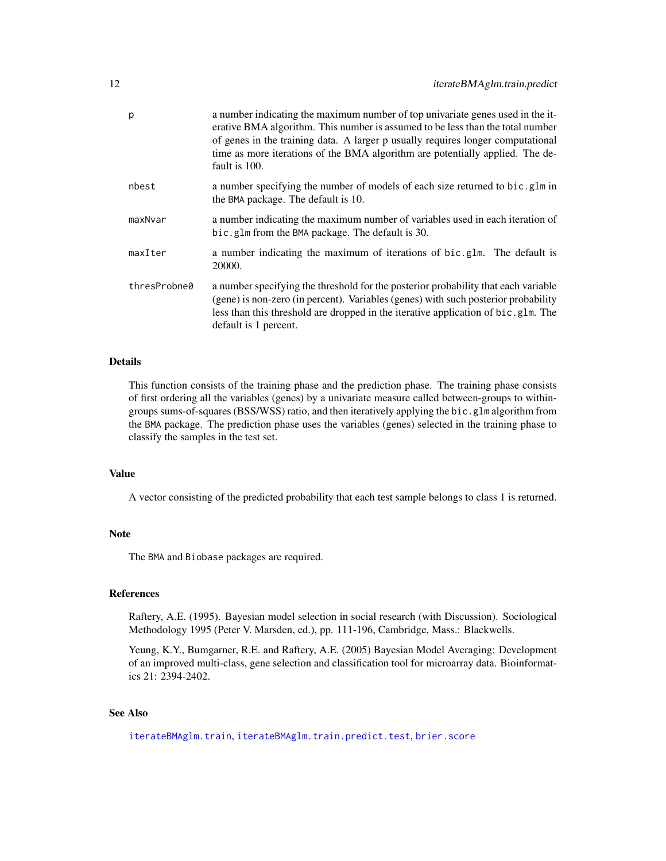<span id="page-11-0"></span>

| p            | a number indicating the maximum number of top univariate genes used in the it-<br>erative BMA algorithm. This number is assumed to be less than the total number<br>of genes in the training data. A larger p usually requires longer computational<br>time as more iterations of the BMA algorithm are potentially applied. The de-<br>fault is 100. |
|--------------|-------------------------------------------------------------------------------------------------------------------------------------------------------------------------------------------------------------------------------------------------------------------------------------------------------------------------------------------------------|
| nbest        | a number specifying the number of models of each size returned to bic.glm in<br>the BMA package. The default is 10.                                                                                                                                                                                                                                   |
| maxNvar      | a number indicating the maximum number of variables used in each iteration of<br>bic.glm from the BMA package. The default is 30.                                                                                                                                                                                                                     |
| maxIter      | a number indicating the maximum of iterations of bic.glm. The default is<br>20000.                                                                                                                                                                                                                                                                    |
| thresProbne0 | a number specifying the threshold for the posterior probability that each variable<br>(gene) is non-zero (in percent). Variables (genes) with such posterior probability<br>less than this threshold are dropped in the iterative application of bic.glm. The<br>default is 1 percent.                                                                |

This function consists of the training phase and the prediction phase. The training phase consists of first ordering all the variables (genes) by a univariate measure called between-groups to withingroups sums-of-squares (BSS/WSS) ratio, and then iteratively applying the bic.glm algorithm from the BMA package. The prediction phase uses the variables (genes) selected in the training phase to classify the samples in the test set.

#### Value

A vector consisting of the predicted probability that each test sample belongs to class 1 is returned.

#### Note

The BMA and Biobase packages are required.

#### References

Raftery, A.E. (1995). Bayesian model selection in social research (with Discussion). Sociological Methodology 1995 (Peter V. Marsden, ed.), pp. 111-196, Cambridge, Mass.: Blackwells.

Yeung, K.Y., Bumgarner, R.E. and Raftery, A.E. (2005) Bayesian Model Averaging: Development of an improved multi-class, gene selection and classification tool for microarray data. Bioinformatics 21: 2394-2402.

#### See Also

[iterateBMAglm.train](#page-7-1), [iterateBMAglm.train.predict.test](#page-12-1), [brier.score](#page-4-1)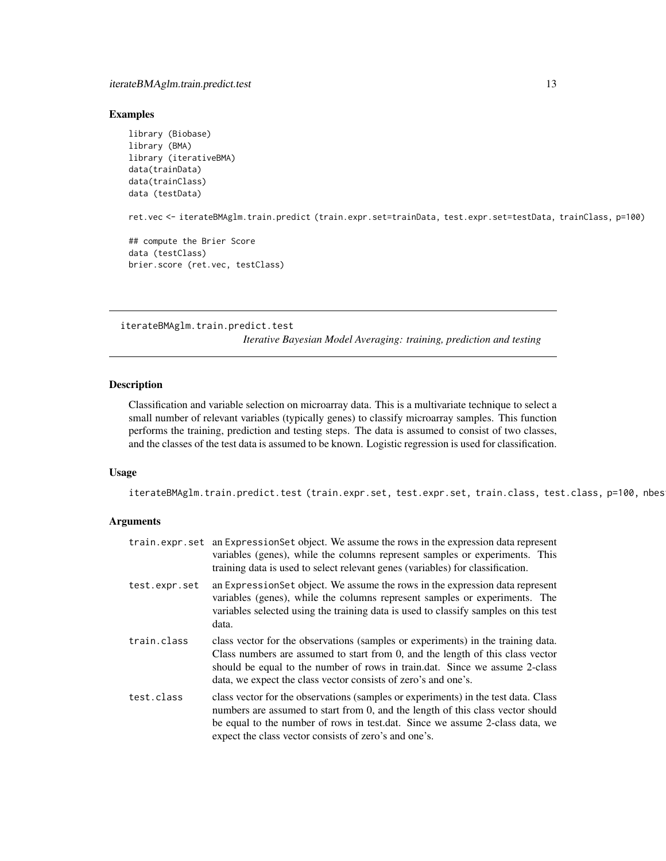#### <span id="page-12-0"></span>Examples

```
library (Biobase)
library (BMA)
library (iterativeBMA)
data(trainData)
data(trainClass)
data (testData)
ret.vec <- iterateBMAglm.train.predict (train.expr.set=trainData, test.expr.set=testData, trainClass, p=100)
## compute the Brier Score
data (testClass)
brier.score (ret.vec, testClass)
```
<span id="page-12-1"></span>iterateBMAglm.train.predict.test *Iterative Bayesian Model Averaging: training, prediction and testing*

#### Description

Classification and variable selection on microarray data. This is a multivariate technique to select a small number of relevant variables (typically genes) to classify microarray samples. This function performs the training, prediction and testing steps. The data is assumed to consist of two classes, and the classes of the test data is assumed to be known. Logistic regression is used for classification.

#### Usage

iterateBMAglm.train.predict.test (train.expr.set, test.expr.set, train.class, test.class, p=100, nbes

#### Arguments

|               | train.expr.set an Expression Set object. We assume the rows in the expression data represent<br>variables (genes), while the columns represent samples or experiments. This<br>training data is used to select relevant genes (variables) for classification.                                                       |
|---------------|---------------------------------------------------------------------------------------------------------------------------------------------------------------------------------------------------------------------------------------------------------------------------------------------------------------------|
| test.expr.set | an Expression Set object. We assume the rows in the expression data represent<br>variables (genes), while the columns represent samples or experiments. The<br>variables selected using the training data is used to classify samples on this test<br>data.                                                         |
| train.class   | class vector for the observations (samples or experiments) in the training data.<br>Class numbers are assumed to start from 0, and the length of this class vector<br>should be equal to the number of rows in train.dat. Since we assume 2-class<br>data, we expect the class vector consists of zero's and one's. |
| test.class    | class vector for the observations (samples or experiments) in the test data. Class<br>numbers are assumed to start from 0, and the length of this class vector should<br>be equal to the number of rows in test.dat. Since we assume 2-class data, we<br>expect the class vector consists of zero's and one's.      |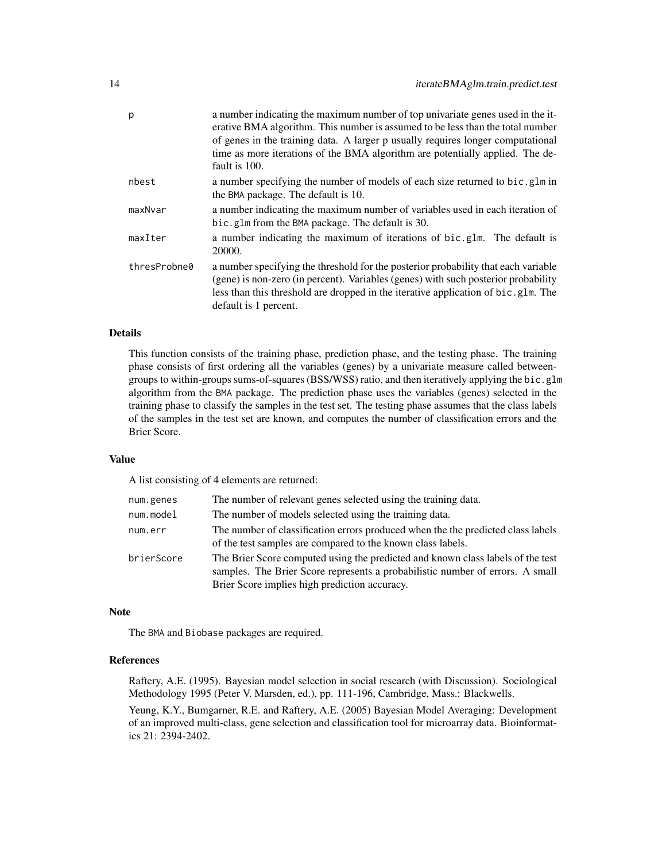| p            | a number indicating the maximum number of top univariate genes used in the it-<br>erative BMA algorithm. This number is assumed to be less than the total number<br>of genes in the training data. A larger p usually requires longer computational<br>time as more iterations of the BMA algorithm are potentially applied. The de-<br>fault is 100. |
|--------------|-------------------------------------------------------------------------------------------------------------------------------------------------------------------------------------------------------------------------------------------------------------------------------------------------------------------------------------------------------|
| nbest        | a number specifying the number of models of each size returned to bic.glm in<br>the BMA package. The default is 10.                                                                                                                                                                                                                                   |
| maxNvar      | a number indicating the maximum number of variables used in each iteration of<br>bic.glm from the BMA package. The default is 30.                                                                                                                                                                                                                     |
| maxIter      | a number indicating the maximum of iterations of bic.glm. The default is<br>20000.                                                                                                                                                                                                                                                                    |
| thresProbne0 | a number specifying the threshold for the posterior probability that each variable<br>(gene) is non-zero (in percent). Variables (genes) with such posterior probability<br>less than this threshold are dropped in the iterative application of bic.glm. The<br>default is 1 percent.                                                                |

This function consists of the training phase, prediction phase, and the testing phase. The training phase consists of first ordering all the variables (genes) by a univariate measure called betweengroups to within-groups sums-of-squares (BSS/WSS) ratio, and then iteratively applying the bic.glm algorithm from the BMA package. The prediction phase uses the variables (genes) selected in the training phase to classify the samples in the test set. The testing phase assumes that the class labels of the samples in the test set are known, and computes the number of classification errors and the Brier Score.

#### Value

A list consisting of 4 elements are returned:

| num.genes  | The number of relevant genes selected using the training data.                                                                                                                                                    |
|------------|-------------------------------------------------------------------------------------------------------------------------------------------------------------------------------------------------------------------|
| num.model  | The number of models selected using the training data.                                                                                                                                                            |
| num.err    | The number of classification errors produced when the the predicted class labels<br>of the test samples are compared to the known class labels.                                                                   |
| brierScore | The Brier Score computed using the predicted and known class labels of the test<br>samples. The Brier Score represents a probabilistic number of errors. A small<br>Brier Score implies high prediction accuracy. |

#### Note

The BMA and Biobase packages are required.

#### References

Raftery, A.E. (1995). Bayesian model selection in social research (with Discussion). Sociological Methodology 1995 (Peter V. Marsden, ed.), pp. 111-196, Cambridge, Mass.: Blackwells.

Yeung, K.Y., Bumgarner, R.E. and Raftery, A.E. (2005) Bayesian Model Averaging: Development of an improved multi-class, gene selection and classification tool for microarray data. Bioinformatics 21: 2394-2402.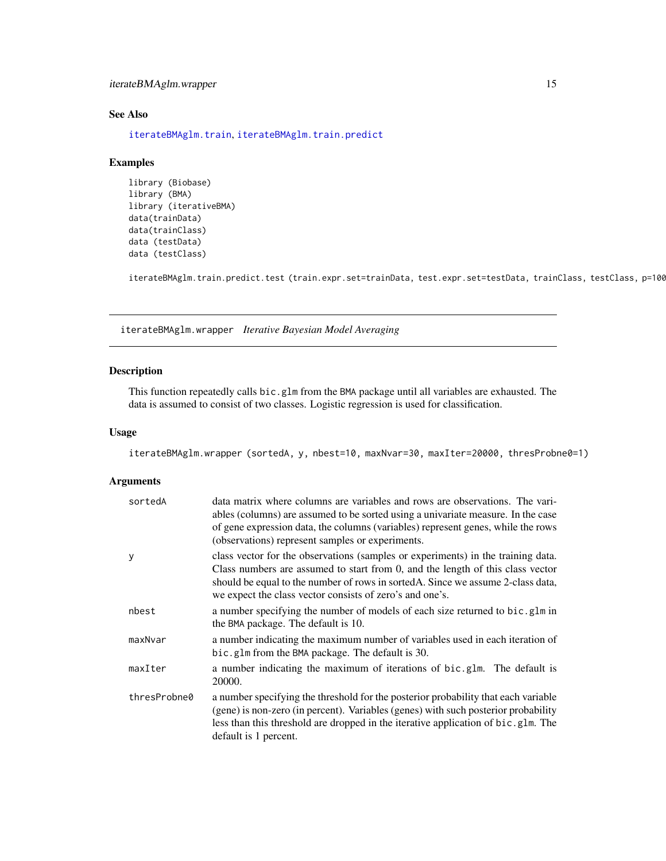#### <span id="page-14-0"></span>iterateBMAglm.wrapper 15

#### See Also

[iterateBMAglm.train](#page-7-1), [iterateBMAglm.train.predict](#page-10-1)

#### Examples

```
library (Biobase)
library (BMA)
library (iterativeBMA)
data(trainData)
data(trainClass)
data (testData)
data (testClass)
```
iterateBMAglm.train.predict.test (train.expr.set=trainData, test.expr.set=testData, trainClass, testClass, p=100)

iterateBMAglm.wrapper *Iterative Bayesian Model Averaging*

#### Description

This function repeatedly calls bic.glm from the BMA package until all variables are exhausted. The data is assumed to consist of two classes. Logistic regression is used for classification.

#### Usage

iterateBMAglm.wrapper (sortedA, y, nbest=10, maxNvar=30, maxIter=20000, thresProbne0=1)

#### Arguments

| sortedA      | data matrix where columns are variables and rows are observations. The vari-<br>ables (columns) are assumed to be sorted using a univariate measure. In the case<br>of gene expression data, the columns (variables) represent genes, while the rows<br>(observations) represent samples or experiments.           |
|--------------|--------------------------------------------------------------------------------------------------------------------------------------------------------------------------------------------------------------------------------------------------------------------------------------------------------------------|
| y            | class vector for the observations (samples or experiments) in the training data.<br>Class numbers are assumed to start from 0, and the length of this class vector<br>should be equal to the number of rows in sorted A. Since we assume 2-class data,<br>we expect the class vector consists of zero's and one's. |
| nbest        | a number specifying the number of models of each size returned to bic.glm in<br>the BMA package. The default is 10.                                                                                                                                                                                                |
| maxNvar      | a number indicating the maximum number of variables used in each iteration of<br>bic.glm from the BMA package. The default is 30.                                                                                                                                                                                  |
| maxIter      | a number indicating the maximum of iterations of bic.glm. The default is<br>20000.                                                                                                                                                                                                                                 |
| thresProbne0 | a number specifying the threshold for the posterior probability that each variable<br>(gene) is non-zero (in percent). Variables (genes) with such posterior probability<br>less than this threshold are dropped in the iterative application of bic.glm. The<br>default is 1 percent.                             |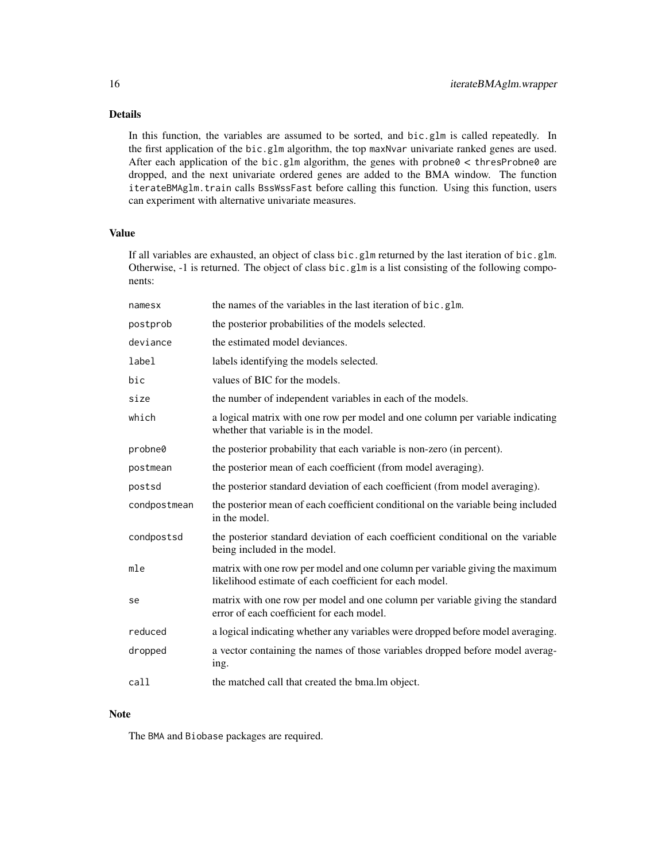In this function, the variables are assumed to be sorted, and bic.glm is called repeatedly. In the first application of the bic.glm algorithm, the top maxNvar univariate ranked genes are used. After each application of the bic.glm algorithm, the genes with probne $0 <$  thresProbne $0$  are dropped, and the next univariate ordered genes are added to the BMA window. The function iterateBMAglm.train calls BssWssFast before calling this function. Using this function, users can experiment with alternative univariate measures.

#### Value

If all variables are exhausted, an object of class bic.glm returned by the last iteration of bic.glm. Otherwise, -1 is returned. The object of class bic.glm is a list consisting of the following components:

| namesx       | the names of the variables in the last iteration of bic.glm.                                                                            |
|--------------|-----------------------------------------------------------------------------------------------------------------------------------------|
| postprob     | the posterior probabilities of the models selected.                                                                                     |
| deviance     | the estimated model deviances.                                                                                                          |
| label        | labels identifying the models selected.                                                                                                 |
| bic          | values of BIC for the models.                                                                                                           |
| size         | the number of independent variables in each of the models.                                                                              |
| which        | a logical matrix with one row per model and one column per variable indicating<br>whether that variable is in the model.                |
| probne0      | the posterior probability that each variable is non-zero (in percent).                                                                  |
| postmean     | the posterior mean of each coefficient (from model averaging).                                                                          |
| postsd       | the posterior standard deviation of each coefficient (from model averaging).                                                            |
| condpostmean | the posterior mean of each coefficient conditional on the variable being included<br>in the model.                                      |
| condpostsd   | the posterior standard deviation of each coefficient conditional on the variable<br>being included in the model.                        |
| mle          | matrix with one row per model and one column per variable giving the maximum<br>likelihood estimate of each coefficient for each model. |
| se           | matrix with one row per model and one column per variable giving the standard<br>error of each coefficient for each model.              |
| reduced      | a logical indicating whether any variables were dropped before model averaging.                                                         |
| dropped      | a vector containing the names of those variables dropped before model averag-<br>ing.                                                   |
| call         | the matched call that created the bma. Im object.                                                                                       |

#### Note

The BMA and Biobase packages are required.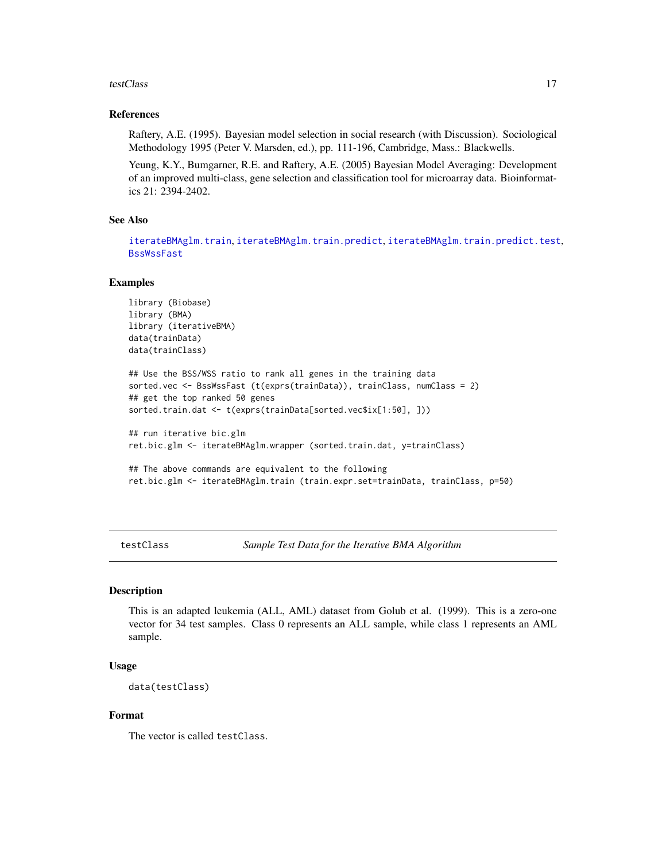#### <span id="page-16-0"></span>testClass and the contract of the contract of the contract of the contract of the contract of the contract of the contract of the contract of the contract of the contract of the contract of the contract of the contract of

#### References

Raftery, A.E. (1995). Bayesian model selection in social research (with Discussion). Sociological Methodology 1995 (Peter V. Marsden, ed.), pp. 111-196, Cambridge, Mass.: Blackwells.

Yeung, K.Y., Bumgarner, R.E. and Raftery, A.E. (2005) Bayesian Model Averaging: Development of an improved multi-class, gene selection and classification tool for microarray data. Bioinformatics 21: 2394-2402.

#### See Also

[iterateBMAglm.train](#page-7-1), [iterateBMAglm.train.predict](#page-10-1), [iterateBMAglm.train.predict.test](#page-12-1), [BssWssFast](#page-5-1)

#### Examples

```
library (Biobase)
library (BMA)
library (iterativeBMA)
data(trainData)
data(trainClass)
## Use the BSS/WSS ratio to rank all genes in the training data
sorted.vec <- BssWssFast (t(exprs(trainData)), trainClass, numClass = 2)
## get the top ranked 50 genes
sorted.train.dat <- t(exprs(trainData[sorted.vec$ix[1:50], ]))
## run iterative bic.glm
ret.bic.glm <- iterateBMAglm.wrapper (sorted.train.dat, y=trainClass)
## The above commands are equivalent to the following
ret.bic.glm <- iterateBMAglm.train (train.expr.set=trainData, trainClass, p=50)
```
testClass *Sample Test Data for the Iterative BMA Algorithm*

#### Description

This is an adapted leukemia (ALL, AML) dataset from Golub et al. (1999). This is a zero-one vector for 34 test samples. Class 0 represents an ALL sample, while class 1 represents an AML sample.

#### Usage

```
data(testClass)
```
#### Format

The vector is called testClass.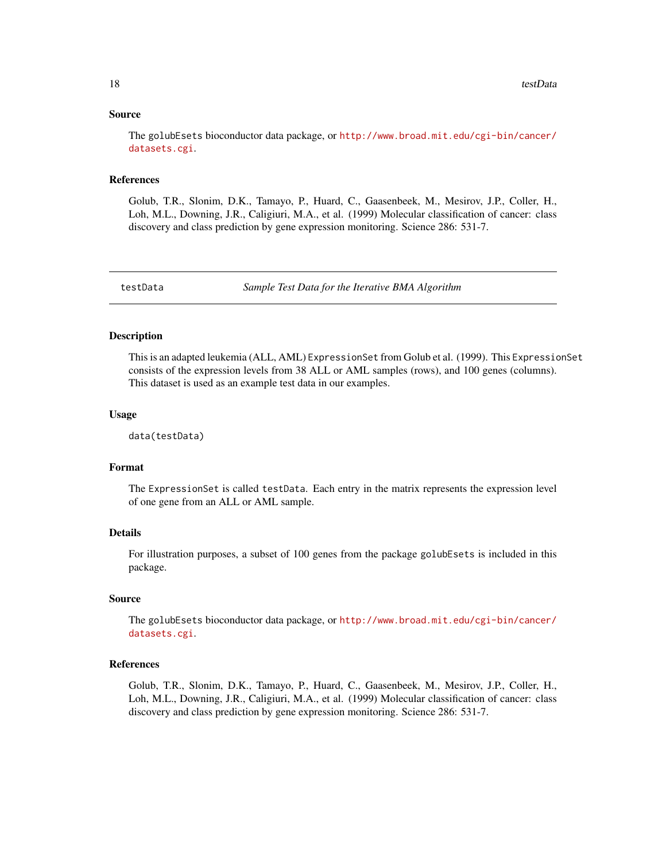#### <span id="page-17-0"></span>Source

The golubEsets bioconductor data package, or [http://www.broad.mit.edu/cgi-bin/cancer/](http://www.broad.mit.edu/cgi-bin/cancer/datasets.cgi) [datasets.cgi](http://www.broad.mit.edu/cgi-bin/cancer/datasets.cgi).

#### References

Golub, T.R., Slonim, D.K., Tamayo, P., Huard, C., Gaasenbeek, M., Mesirov, J.P., Coller, H., Loh, M.L., Downing, J.R., Caligiuri, M.A., et al. (1999) Molecular classification of cancer: class discovery and class prediction by gene expression monitoring. Science 286: 531-7.

testData *Sample Test Data for the Iterative BMA Algorithm*

#### Description

This is an adapted leukemia (ALL, AML) ExpressionSet from Golub et al. (1999). This ExpressionSet consists of the expression levels from 38 ALL or AML samples (rows), and 100 genes (columns). This dataset is used as an example test data in our examples.

#### Usage

data(testData)

#### Format

The ExpressionSet is called testData. Each entry in the matrix represents the expression level of one gene from an ALL or AML sample.

#### Details

For illustration purposes, a subset of 100 genes from the package golubEsets is included in this package.

#### Source

The golubEsets bioconductor data package, or [http://www.broad.mit.edu/cgi-bin/cancer/](http://www.broad.mit.edu/cgi-bin/cancer/datasets.cgi) [datasets.cgi](http://www.broad.mit.edu/cgi-bin/cancer/datasets.cgi).

#### References

Golub, T.R., Slonim, D.K., Tamayo, P., Huard, C., Gaasenbeek, M., Mesirov, J.P., Coller, H., Loh, M.L., Downing, J.R., Caligiuri, M.A., et al. (1999) Molecular classification of cancer: class discovery and class prediction by gene expression monitoring. Science 286: 531-7.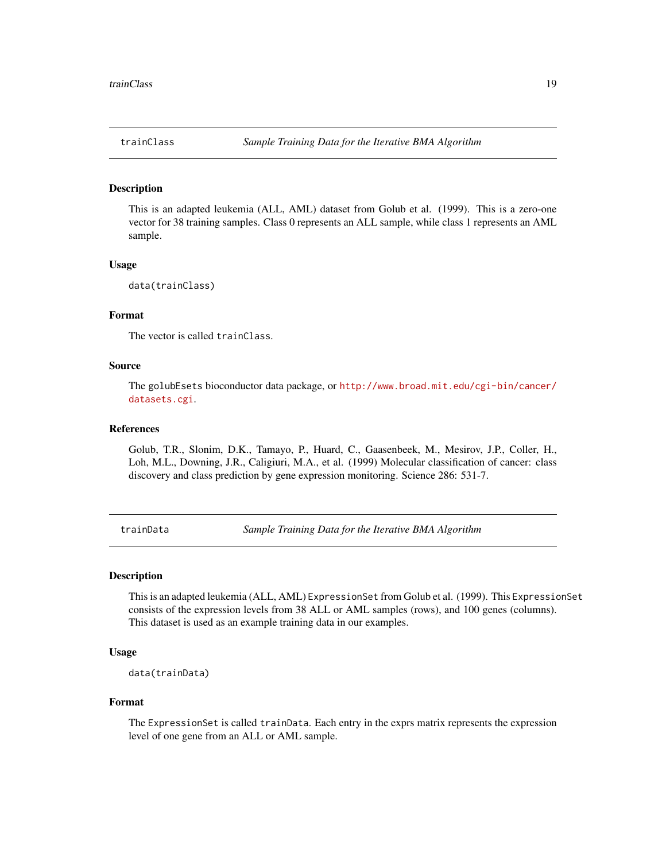<span id="page-18-2"></span><span id="page-18-0"></span>

#### Description

This is an adapted leukemia (ALL, AML) dataset from Golub et al. (1999). This is a zero-one vector for 38 training samples. Class 0 represents an ALL sample, while class 1 represents an AML sample.

#### Usage

```
data(trainClass)
```
#### Format

The vector is called trainClass.

#### Source

The golubEsets bioconductor data package, or [http://www.broad.mit.edu/cgi-bin/cancer/](http://www.broad.mit.edu/cgi-bin/cancer/datasets.cgi) [datasets.cgi](http://www.broad.mit.edu/cgi-bin/cancer/datasets.cgi).

#### References

Golub, T.R., Slonim, D.K., Tamayo, P., Huard, C., Gaasenbeek, M., Mesirov, J.P., Coller, H., Loh, M.L., Downing, J.R., Caligiuri, M.A., et al. (1999) Molecular classification of cancer: class discovery and class prediction by gene expression monitoring. Science 286: 531-7.

<span id="page-18-1"></span>trainData *Sample Training Data for the Iterative BMA Algorithm*

#### Description

This is an adapted leukemia (ALL, AML) ExpressionSet from Golub et al. (1999). This ExpressionSet consists of the expression levels from 38 ALL or AML samples (rows), and 100 genes (columns). This dataset is used as an example training data in our examples.

#### Usage

```
data(trainData)
```
#### Format

The ExpressionSet is called trainData. Each entry in the exprs matrix represents the expression level of one gene from an ALL or AML sample.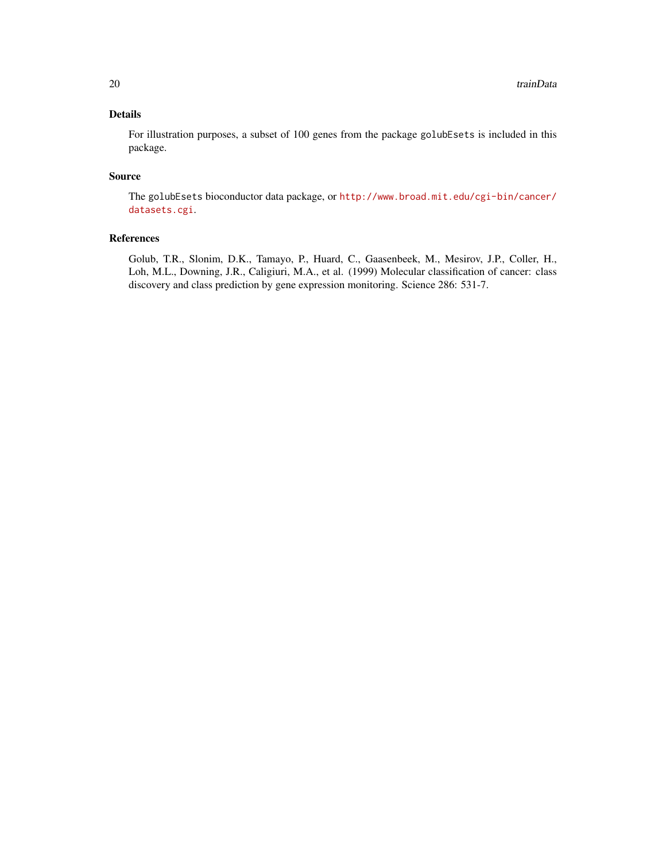For illustration purposes, a subset of 100 genes from the package golubEsets is included in this package.

#### Source

The golubEsets bioconductor data package, or [http://www.broad.mit.edu/cgi-bin/cancer/](http://www.broad.mit.edu/cgi-bin/cancer/datasets.cgi) [datasets.cgi](http://www.broad.mit.edu/cgi-bin/cancer/datasets.cgi).

#### References

Golub, T.R., Slonim, D.K., Tamayo, P., Huard, C., Gaasenbeek, M., Mesirov, J.P., Coller, H., Loh, M.L., Downing, J.R., Caligiuri, M.A., et al. (1999) Molecular classification of cancer: class discovery and class prediction by gene expression monitoring. Science 286: 531-7.